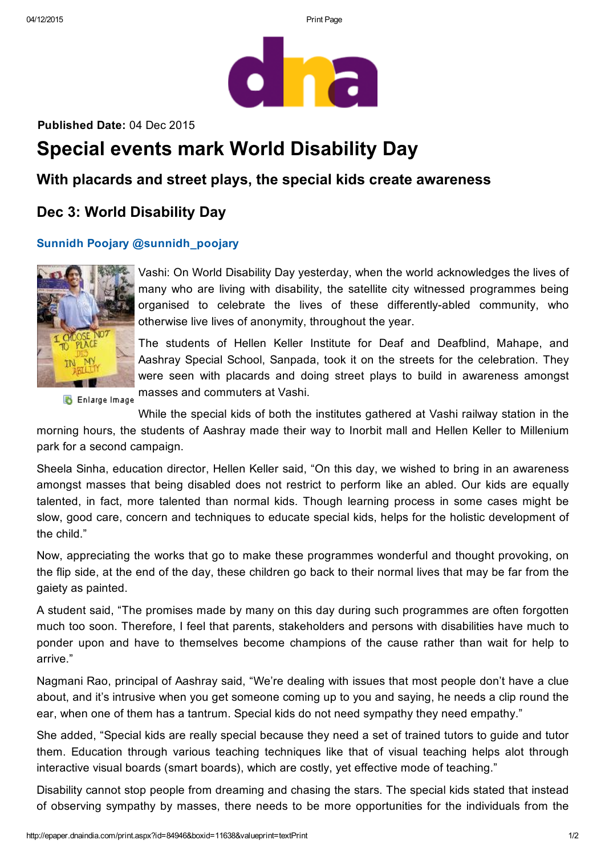

Published Date: 04 Dec 2015

# Special events mark World Disability Day

### With placards and street plays, the special kids create awareness

## Dec 3: World Disability Day

#### Sunnidh Poojary @sunnidh\_poojary



Vashi: On World Disability Day yesterday, when the world acknowledges the lives of many who are living with disability, the satellite city witnessed programmes being organised to celebrate the lives of these differently-abled community, who otherwise live lives of anonymity, throughout the year.

The students of Hellen Keller Institute for Deaf and Deafblind, Mahape, and Aashray Special School, Sanpada, took it on the streets for the celebration. They were seen with placards and doing street plays to build in awareness amongst masses and commuters at Vashi.

**B** Enlarge Image

While the special kids of both the institutes gathered at Vashi railway station in the morning hours, the students of Aashray made their way to Inorbit mall and Hellen Keller to Millenium park for a second campaign.

Sheela Sinha, education director, Hellen Keller said, "On this day, we wished to bring in an awareness amongst masses that being disabled does not restrict to perform like an abled. Our kids are equally talented, in fact, more talented than normal kids. Though learning process in some cases might be slow, good care, concern and techniques to educate special kids, helps for the holistic development of the child."

Now, appreciating the works that go to make these programmes wonderful and thought provoking, on the flip side, at the end of the day, these children go back to their normal lives that may be far from the gaiety as painted.

A student said, "The promises made by many on this day during such programmes are often forgotten much too soon. Therefore, I feel that parents, stakeholders and persons with disabilities have much to ponder upon and have to themselves become champions of the cause rather than wait for help to arrive."

Nagmani Rao, principal of Aashray said, "We're dealing with issues that most people don't have a clue about, and it's intrusive when you get someone coming up to you and saying, he needs a clip round the ear, when one of them has a tantrum. Special kids do not need sympathy they need empathy."

She added, "Special kids are really special because they need a set of trained tutors to guide and tutor them. Education through various teaching techniques like that of visual teaching helps alot through interactive visual boards (smart boards), which are costly, yet effective mode of teaching."

Disability cannot stop people from dreaming and chasing the stars. The special kids stated that instead of observing sympathy by masses, there needs to be more opportunities for the individuals from the